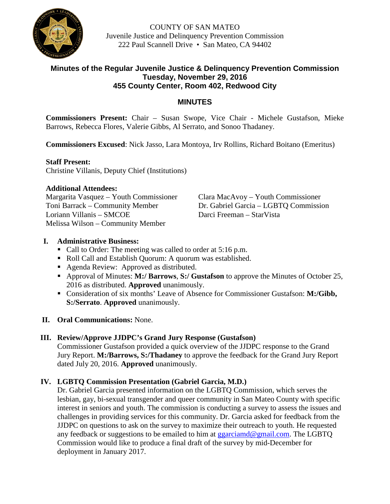

COUNTY OF SAN MATEO Juvenile Justice and Delinquency Prevention Commission 222 Paul Scannell Drive • San Mateo, CA 94402

# **Minutes of the Regular Juvenile Justice & Delinquency Prevention Commission Tuesday, November 29, 2016 455 County Center, Room 402, Redwood City**

# **MINUTES**

**Commissioners Present:** Chair – Susan Swope, Vice Chair - Michele Gustafson, Mieke Barrows, Rebecca Flores, Valerie Gibbs, Al Serrato, and Sonoo Thadaney.

**Commissioners Excused**: Nick Jasso, Lara Montoya, Irv Rollins, Richard Boitano (Emeritus)

## **Staff Present:**

Christine Villanis, Deputy Chief (Institutions)

## **Additional Attendees:**

Margarita Vasquez – Youth Commissioner Clara MacAvoy – Youth Commissioner Loriann Villanis – SMCOE Melissa Wilson – Community Member

Toni Barrack – Community Member Dr. Gabriel Garcia – LGBTQ Commission<br>
Loriann Villanis – SMCOE Darci Freeman – StarVista

# **I. Administrative Business:**

- Call to Order: The meeting was called to order at 5:16 p.m.
- Roll Call and Establish Quorum: A quorum was established.
- Agenda Review: Approved as distributed.
- Approval of Minutes: **M:/ Barrows**, **S:/ Gustafson** to approve the Minutes of October 25, 2016 as distributed. **Approved** unanimously.
- Consideration of six months' Leave of Absence for Commissioner Gustafson: **M:/Gibb, S:/Serrato**. **Approved** unanimously.
- **II. Oral Communications:** None.

# **III. Review/Approve JJDPC's Grand Jury Response (Gustafson)**

Commissioner Gustafson provided a quick overview of the JJDPC response to the Grand Jury Report. **M:/Barrows, S:/Thadaney** to approve the feedback for the Grand Jury Report dated July 20, 2016. **Approved** unanimously.

# **IV. LGBTQ Commission Presentation (Gabriel Garcia, M.D.)**

Dr. Gabriel Garcia presented information on the LGBTQ Commission, which serves the lesbian, gay, bi-sexual transgender and queer community in San Mateo County with specific interest in seniors and youth. The commission is conducting a survey to assess the issues and challenges in providing services for this community. Dr. Garcia asked for feedback from the JJDPC on questions to ask on the survey to maximize their outreach to youth. He requested any feedback or suggestions to be emailed to him at [ggarciamd@gmail.com.](mailto:ggarciamd@gmail.com) The LGBTQ Commission would like to produce a final draft of the survey by mid-December for deployment in January 2017.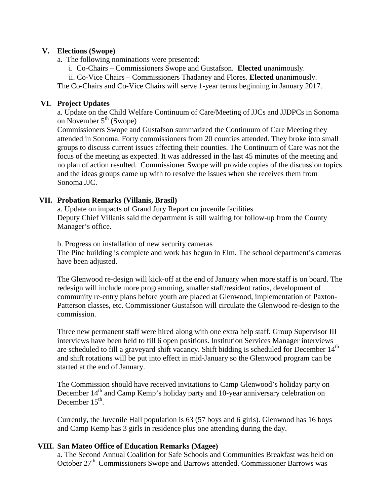## **V. Elections (Swope)**

- a. The following nominations were presented:
	- i. Co-Chairs Commissioners Swope and Gustafson. **Elected** unanimously.

ii. Co-Vice Chairs – Commissioners Thadaney and Flores. **Elected** unanimously.

The Co-Chairs and Co-Vice Chairs will serve 1-year terms beginning in January 2017.

## **VI. Project Updates**

a. Update on the Child Welfare Continuum of Care/Meeting of JJCs and JJDPCs in Sonoma on November  $5<sup>th</sup>$  (Swope)

Commissioners Swope and Gustafson summarized the Continuum of Care Meeting they attended in Sonoma. Forty commissioners from 20 counties attended. They broke into small groups to discuss current issues affecting their counties. The Continuum of Care was not the focus of the meeting as expected. It was addressed in the last 45 minutes of the meeting and no plan of action resulted. Commissioner Swope will provide copies of the discussion topics and the ideas groups came up with to resolve the issues when she receives them from Sonoma JJC.

## **VII. Probation Remarks (Villanis, Brasil)**

a. Update on impacts of Grand Jury Report on juvenile facilities Deputy Chief Villanis said the department is still waiting for follow-up from the County Manager's office.

b. Progress on installation of new security cameras

The Pine building is complete and work has begun in Elm. The school department's cameras have been adjusted.

The Glenwood re-design will kick-off at the end of January when more staff is on board. The redesign will include more programming, smaller staff/resident ratios, development of community re-entry plans before youth are placed at Glenwood, implementation of Paxton-Patterson classes, etc. Commissioner Gustafson will circulate the Glenwood re-design to the commission.

Three new permanent staff were hired along with one extra help staff. Group Supervisor III interviews have been held to fill 6 open positions. Institution Services Manager interviews are scheduled to fill a graveyard shift vacancy. Shift bidding is scheduled for December  $14<sup>th</sup>$ and shift rotations will be put into effect in mid-January so the Glenwood program can be started at the end of January.

The Commission should have received invitations to Camp Glenwood's holiday party on December 14<sup>th</sup> and Camp Kemp's holiday party and 10-year anniversary celebration on December 15<sup>th</sup>.

Currently, the Juvenile Hall population is 63 (57 boys and 6 girls). Glenwood has 16 boys and Camp Kemp has 3 girls in residence plus one attending during the day.

# **VIII. San Mateo Office of Education Remarks (Magee)**

a. The Second Annual Coalition for Safe Schools and Communities Breakfast was held on October 27<sup>th.</sup> Commissioners Swope and Barrows attended. Commissioner Barrows was